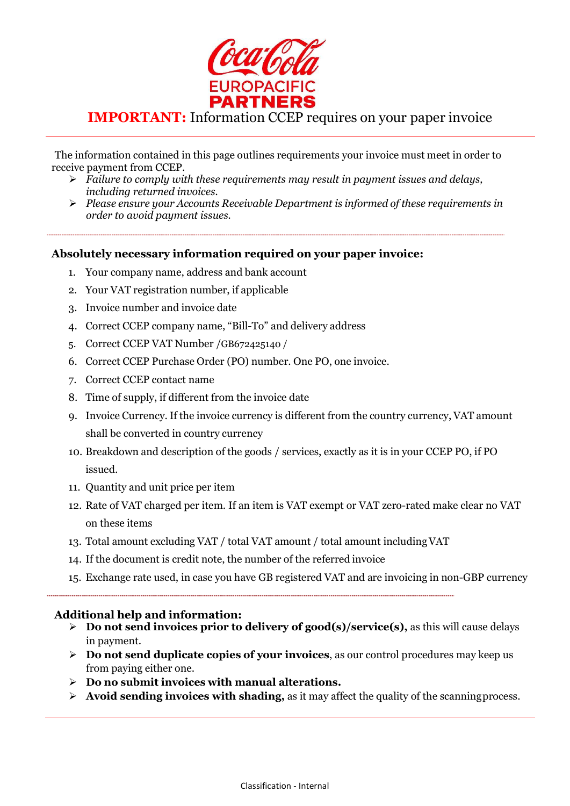

## IMPORTANT: Information CCEP requires on your paper invoice

The information contained in this page outlines requirements your invoice must meet in order to receive payment from CCEP.

- $\triangleright$  Failure to comply with these requirements may result in payment issues and delays, including returned invoices.
- $\triangleright$  Please ensure your Accounts Receivable Department is informed of these requirements in order to avoid payment issues.

## Absolutely necessary information required on your paper invoice:

- 1. Your company name, address and bank account
- 2. Your VAT registration number, if applicable
- 3. Invoice number and invoice date
- 4. Correct CCEP company name, "Bill-To" and delivery address
- 5. Correct CCEP VAT Number /GB672425140 /
- 6. Correct CCEP Purchase Order (PO) number. One PO, one invoice.
- 7. Correct CCEP contact name
- 8. Time of supply, if different from the invoice date
- 9. Invoice Currency. If the invoice currency is different from the country currency, VAT amount shall be converted in country currency
- 10. Breakdown and description of the goods / services, exactly as it is in your CCEP PO, if PO issued.
- 11. Quantity and unit price per item
- 12. Rate of VAT charged per item. If an item is VAT exempt or VAT zero-rated make clear no VAT on these items
- 13. Total amount excluding VAT / total VAT amount / total amount including VAT
- 14. If the document is credit note, the number of the referred invoice
- 15. Exchange rate used, in case you have GB registered VAT and are invoicing in non-GBP currency

## Additional help and information:

- $\triangleright$  Do not send invoices prior to delivery of good(s)/service(s), as this will cause delays in payment.
- $\triangleright$  Do not send duplicate copies of your invoices, as our control procedures may keep us from paying either one.
- $\triangleright$  Do no submit invoices with manual alterations.
- $\triangleright$  Avoid sending invoices with shading, as it may affect the quality of the scanning process.